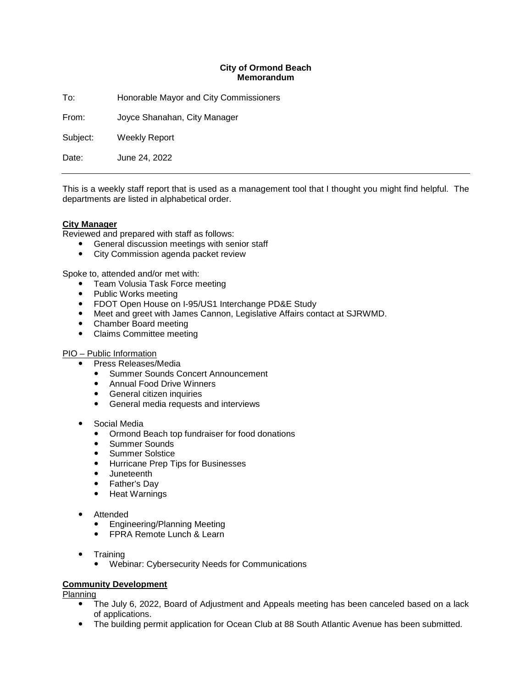### **City of Ormond Beach Memorandum**

To: Honorable Mayor and City Commissioners

From: Joyce Shanahan, City Manager

Subject: Weekly Report

Date: June 24, 2022

This is a weekly staff report that is used as a management tool that I thought you might find helpful. The departments are listed in alphabetical order.

### **City Manager**

Reviewed and prepared with staff as follows:

- General discussion meetings with senior staff
- City Commission agenda packet review

Spoke to, attended and/or met with:

- Team Volusia Task Force meeting
- Public Works meeting
- FDOT Open House on I-95/US1 Interchange PD&E Study
- Meet and greet with James Cannon, Legislative Affairs contact at SJRWMD.
- Chamber Board meeting
- Claims Committee meeting

### PIO – Public Information

- Press Releases/Media
	- Summer Sounds Concert Announcement
	- Annual Food Drive Winners
	- **•** General citizen inquiries
	- General media requests and interviews
- Social Media
	- Ormond Beach top fundraiser for food donations
	- Summer Sounds
	- **•** Summer Solstice
	- **•** Hurricane Prep Tips for Businesses
	- Juneteenth
	- Father's Day
	- Heat Warnings
- Attended
	- Engineering/Planning Meeting
	- FPRA Remote Lunch & Learn
- **Training** 
	- Webinar: Cybersecurity Needs for Communications

### **Community Development**

Planning

- The July 6, 2022, Board of Adjustment and Appeals meeting has been canceled based on a lack of applications.
- The building permit application for Ocean Club at 88 South Atlantic Avenue has been submitted.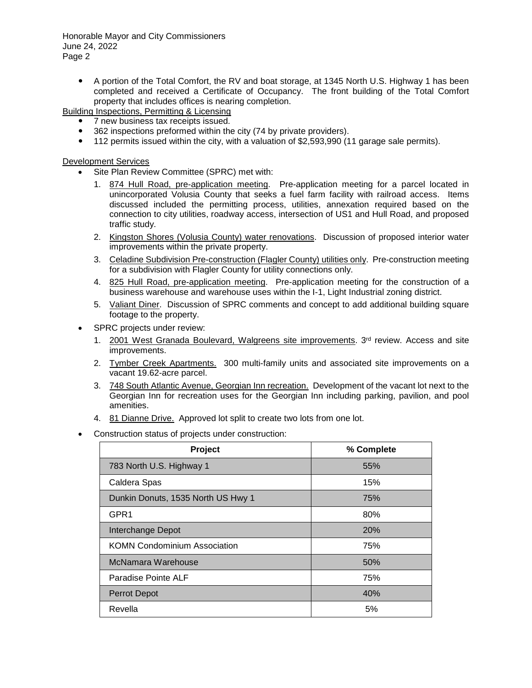A portion of the Total Comfort, the RV and boat storage, at 1345 North U.S. Highway 1 has been completed and received a Certificate of Occupancy. The front building of the Total Comfort property that includes offices is nearing completion.

Building Inspections, Permitting & Licensing

- 7 new business tax receipts issued.
- 362 inspections preformed within the city (74 by private providers).
- 112 permits issued within the city, with a valuation of \$2,593,990 (11 garage sale permits).

Development Services

- Site Plan Review Committee (SPRC) met with:
	- 1. 874 Hull Road, pre-application meeting. Pre-application meeting for a parcel located in unincorporated Volusia County that seeks a fuel farm facility with railroad access. Items discussed included the permitting process, utilities, annexation required based on the connection to city utilities, roadway access, intersection of US1 and Hull Road, and proposed traffic study.
	- 2. Kingston Shores (Volusia County) water renovations. Discussion of proposed interior water improvements within the private property.
	- 3. Celadine Subdivision Pre-construction (Flagler County) utilities only. Pre-construction meeting for a subdivision with Flagler County for utility connections only.
	- 4. 825 Hull Road, pre-application meeting. Pre-application meeting for the construction of a business warehouse and warehouse uses within the I-1, Light Industrial zoning district.
	- 5. Valiant Diner. Discussion of SPRC comments and concept to add additional building square footage to the property.
- SPRC projects under review:
	- 1. 2001 West Granada Boulevard, Walgreens site improvements.  $3<sup>rd</sup>$  review. Access and site improvements.
	- 2. Tymber Creek Apartments. 300 multi-family units and associated site improvements on a vacant 19.62-acre parcel.
	- 3. 748 South Atlantic Avenue, Georgian Inn recreation. Development of the vacant lot next to the Georgian Inn for recreation uses for the Georgian Inn including parking, pavilion, and pool amenities.
	- 4. 81 Dianne Drive. Approved lot split to create two lots from one lot.
- Construction status of projects under construction:

| Project                             | % Complete |
|-------------------------------------|------------|
| 783 North U.S. Highway 1            | 55%        |
| Caldera Spas                        | 15%        |
| Dunkin Donuts, 1535 North US Hwy 1  | 75%        |
| GPR <sub>1</sub>                    | 80%        |
| Interchange Depot                   | 20%        |
| <b>KOMN Condominium Association</b> | 75%        |
| McNamara Warehouse                  | 50%        |
| Paradise Pointe ALF                 | 75%        |
| <b>Perrot Depot</b>                 | 40%        |
| Revella                             | 5%         |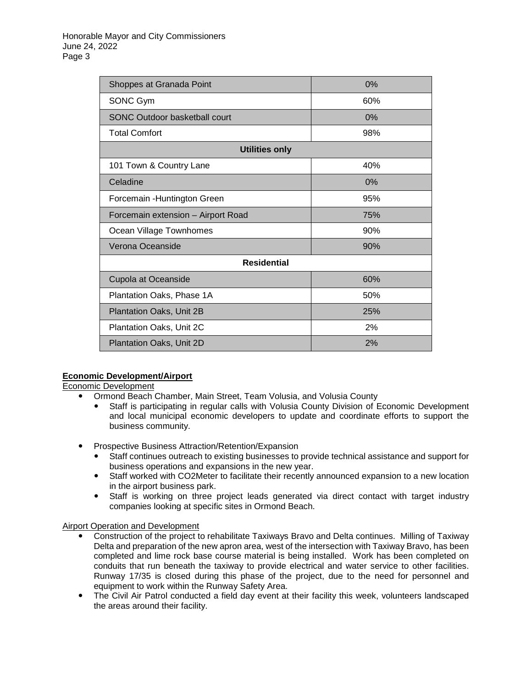| Shoppes at Granada Point           | 0%  |  |
|------------------------------------|-----|--|
| SONC Gym                           | 60% |  |
| SONC Outdoor basketball court      | 0%  |  |
| <b>Total Comfort</b>               | 98% |  |
| <b>Utilities only</b>              |     |  |
| 101 Town & Country Lane            | 40% |  |
| Celadine                           | 0%  |  |
| Forcemain - Huntington Green       | 95% |  |
| Forcemain extension - Airport Road | 75% |  |
| Ocean Village Townhomes            | 90% |  |
| Verona Oceanside                   | 90% |  |
| <b>Residential</b>                 |     |  |
| Cupola at Oceanside                | 60% |  |
| Plantation Oaks, Phase 1A          | 50% |  |
| Plantation Oaks, Unit 2B           | 25% |  |
| Plantation Oaks, Unit 2C           | 2%  |  |
| Plantation Oaks, Unit 2D           | 2%  |  |

# **Economic Development/Airport**

Economic Development

- Ormond Beach Chamber, Main Street, Team Volusia, and Volusia County
	- Staff is participating in regular calls with Volusia County Division of Economic Development and local municipal economic developers to update and coordinate efforts to support the business community.
- Prospective Business Attraction/Retention/Expansion
	- Staff continues outreach to existing businesses to provide technical assistance and support for business operations and expansions in the new year.
	- Staff worked with CO2Meter to facilitate their recently announced expansion to a new location in the airport business park.
	- Staff is working on three project leads generated via direct contact with target industry companies looking at specific sites in Ormond Beach.

### Airport Operation and Development

- Construction of the project to rehabilitate Taxiways Bravo and Delta continues. Milling of Taxiway Delta and preparation of the new apron area, west of the intersection with Taxiway Bravo, has been completed and lime rock base course material is being installed. Work has been completed on conduits that run beneath the taxiway to provide electrical and water service to other facilities. Runway 17/35 is closed during this phase of the project, due to the need for personnel and equipment to work within the Runway Safety Area.
- The Civil Air Patrol conducted a field day event at their facility this week, volunteers landscaped the areas around their facility.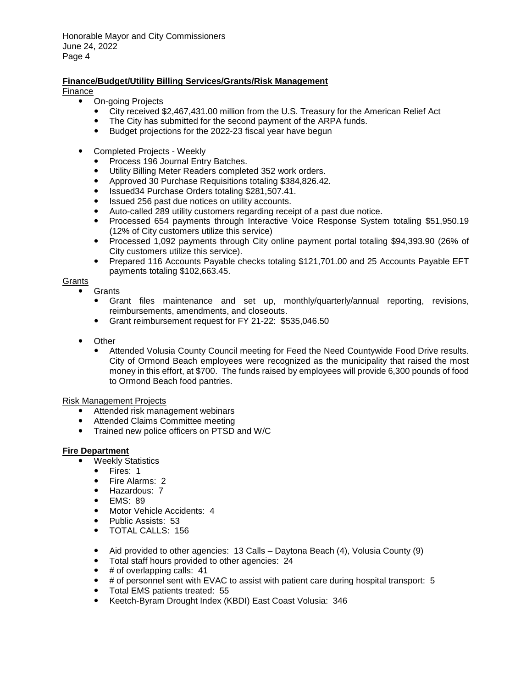# **Finance/Budget/Utility Billing Services/Grants/Risk Management**

Finance

- On-going Projects
	- City received \$2,467,431.00 million from the U.S. Treasury for the American Relief Act
	- The City has submitted for the second payment of the ARPA funds.
	- Budget projections for the 2022-23 fiscal year have begun
- Completed Projects Weekly
	- Process 196 Journal Entry Batches.
	- Utility Billing Meter Readers completed 352 work orders.
	- Approved 30 Purchase Requisitions totaling \$384,826.42.
	- Issued34 Purchase Orders totaling \$281,507.41.
	- Issued 256 past due notices on utility accounts.
	- Auto-called 289 utility customers regarding receipt of a past due notice.
	- Processed 654 payments through Interactive Voice Response System totaling \$51,950.19 (12% of City customers utilize this service)
	- Processed 1,092 payments through City online payment portal totaling \$94,393.90 (26% of City customers utilize this service).
	- Prepared 116 Accounts Payable checks totaling \$121,701.00 and 25 Accounts Payable EFT payments totaling \$102,663.45.

# **Grants**

- **Grants** 
	- Grant files maintenance and set up, monthly/quarterly/annual reporting, revisions, reimbursements, amendments, and closeouts.
	- Grant reimbursement request for FY 21-22: \$535,046.50
- Other
	- Attended Volusia County Council meeting for Feed the Need Countywide Food Drive results. City of Ormond Beach employees were recognized as the municipality that raised the most money in this effort, at \$700. The funds raised by employees will provide 6,300 pounds of food to Ormond Beach food pantries.

Risk Management Projects

- Attended risk management webinars
- Attended Claims Committee meeting
- Trained new police officers on PTSD and W/C

# **Fire Department**

- Weekly Statistics
	- Fires: 1
	- Fire Alarms: 2<br>■ Hazardous: 7
	- Hazardous: 7<br>• EMS: 89
	- EMS: 89
	- Motor Vehicle Accidents: 4
	- Public Assists: 53
	- TOTAL CALLS: 156
	- Aid provided to other agencies: 13 Calls Daytona Beach (4), Volusia County (9)
	- Total staff hours provided to other agencies: 24
	- $\bullet$  # of overlapping calls: 41
	- # of personnel sent with EVAC to assist with patient care during hospital transport: 5
	- Total EMS patients treated: 55
	- Keetch-Byram Drought Index (KBDI) East Coast Volusia: 346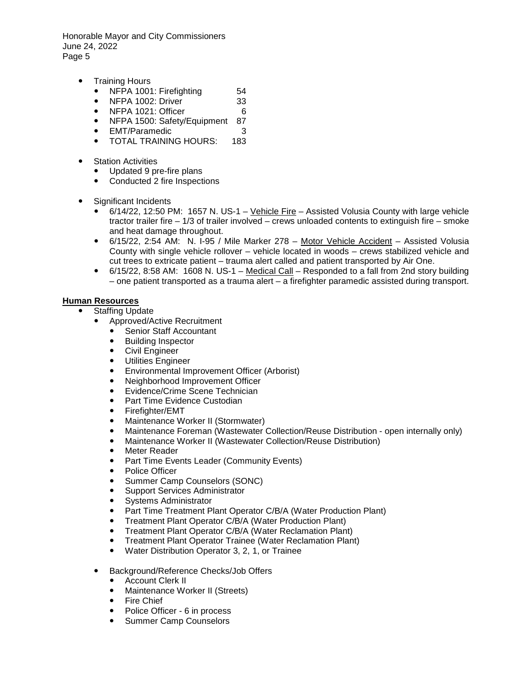- Training Hours
	- NFPA 1001: Firefighting 54
	- NFPA 1002: Driver 33
	- NFPA 1021: Officer 6
	- NFPA 1500: Safety/Equipment 87
	- EMT/Paramedic 3
	- **TOTAL TRAINING HOURS:**
- Station Activities
	- Updated 9 pre-fire plans
	- Conducted 2 fire Inspections
- Significant Incidents
	- 6/14/22, 12:50 PM: 1657 N. US-1 Vehicle Fire Assisted Volusia County with large vehicle tractor trailer fire – 1/3 of trailer involved – crews unloaded contents to extinguish fire – smoke and heat damage throughout.
	- 6/15/22, 2:54 AM: N. I-95 / Mile Marker 278 Motor Vehicle Accident Assisted Volusia County with single vehicle rollover – vehicle located in woods – crews stabilized vehicle and cut trees to extricate patient – trauma alert called and patient transported by Air One.
	- 6/15/22, 8:58 AM: 1608 N. US-1 Medical Call Responded to a fall from 2nd story building – one patient transported as a trauma alert – a firefighter paramedic assisted during transport.

### **Human Resources**

- Staffing Update
	- Approved/Active Recruitment
		- Senior Staff Accountant
		- Building Inspector<br>• Civil Engineer
		- Civil Engineer
		- Utilities Engineer
		- Environmental Improvement Officer (Arborist)
		- Neighborhood Improvement Officer
		- Evidence/Crime Scene Technician<br>● Part Time Evidence Custodian
		- Part Time Evidence Custodian<br>• Firefighter/FMT
		- Firefighter/EMT
		- Maintenance Worker II (Stormwater)
		- Maintenance Foreman (Wastewater Collection/Reuse Distribution open internally only)
		- Maintenance Worker II (Wastewater Collection/Reuse Distribution)
		- Meter Reader
		- Part Time Events Leader (Community Events)
		- Police Officer
		- Summer Camp Counselors (SONC)
		- Support Services Administrator
		- Systems Administrator
		- Part Time Treatment Plant Operator C/B/A (Water Production Plant)
		- Treatment Plant Operator C/B/A (Water Production Plant)
		- Treatment Plant Operator C/B/A (Water Reclamation Plant)
		- Treatment Plant Operator Trainee (Water Reclamation Plant)
		- Water Distribution Operator 3, 2, 1, or Trainee
	- Background/Reference Checks/Job Offers
		- Account Clerk II
		- Maintenance Worker II (Streets)
		- Fire Chief<br>• Police Offi
		- Police Officer 6 in process
		- Summer Camp Counselors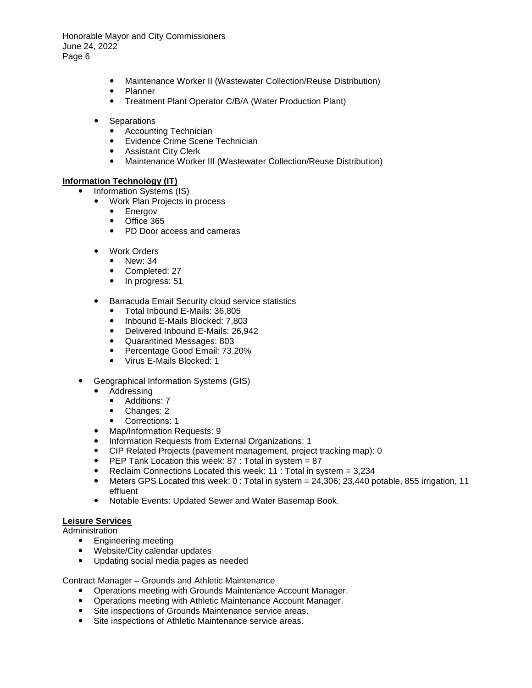- Maintenance Worker II (Wastewater Collection/Reuse Distribution)
- Planner
- Treatment Plant Operator C/B/A (Water Production Plant)
- Separations
	- Accounting Technician
	- Evidence Crime Scene Technician
	- Assistant City Clerk
	- Maintenance Worker III (Wastewater Collection/Reuse Distribution)

### **Information Technology (IT)**

- Information Systems (IS)
	- Work Plan Projects in process
		- Energov
		- Office 365<br>• PD Door a
		- PD Door access and cameras
	- Work Orders
		- New: 34
		- Completed: 27<br>• In progress: 51
		- In progress: 51
	- **•** Barracuda Email Security cloud service statistics
		- Total Inbound E-Mails: 36,805
		- Inbound E-Mails Blocked: 7,803
		- Delivered Inbound E-Mails: 26,942
		- Quarantined Messages: 803
		- Percentage Good Email: 73.20%
		- Virus E-Mails Blocked: 1
- Geographical Information Systems (GIS)
	- Addressing
		- Additions: 7<br>• Changes: 2
		- Changes: 2
		- Corrections: 1
	- Map/Information Requests: 9
	- Information Requests from External Organizations: 1
	- CIP Related Projects (pavement management, project tracking map): 0
	- **•** PEP Tank Location this week: 87 : Total in system  $= 87$
	- Reclaim Connections Located this week: 11 : Total in system = 3,234<br>● Meters GPS Located this week: 0 : Total in system = 24.306: 23.440 n
	- Meters GPS Located this week: 0 : Total in system = 24,306; 23,440 potable, 855 irrigation, 11 effluent
	- Notable Events: Updated Sewer and Water Basemap Book.

# **Leisure Services**

Administration

- **•** Engineering meeting
- Website/City calendar updates
- Updating social media pages as needed

### Contract Manager – Grounds and Athletic Maintenance

- Operations meeting with Grounds Maintenance Account Manager.
- Operations meeting with Athletic Maintenance Account Manager.
- Site inspections of Grounds Maintenance service areas.
- Site inspections of Athletic Maintenance service areas.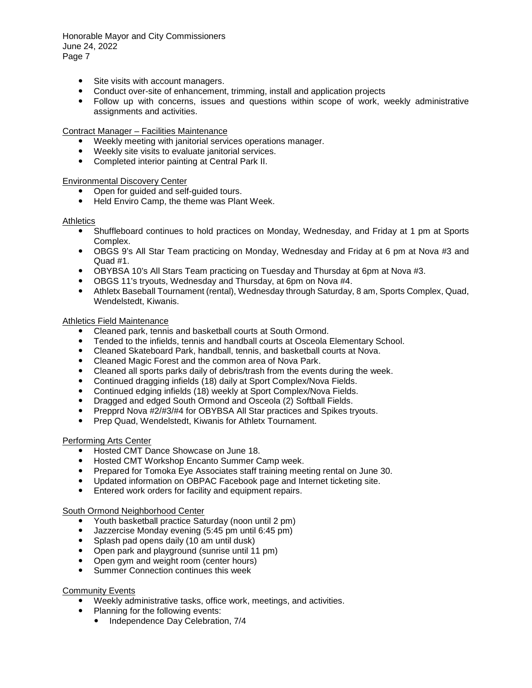- Site visits with account managers.
- Conduct over-site of enhancement, trimming, install and application projects
- Follow up with concerns, issues and questions within scope of work, weekly administrative assignments and activities.

### Contract Manager – Facilities Maintenance

- Weekly meeting with janitorial services operations manager.
- Weekly site visits to evaluate janitorial services.
- Completed interior painting at Central Park II.

#### Environmental Discovery Center

- Open for guided and self-guided tours.
- Held Enviro Camp, the theme was Plant Week.

#### **Athletics**

- Shuffleboard continues to hold practices on Monday, Wednesday, and Friday at 1 pm at Sports Complex.
- OBGS 9's All Star Team practicing on Monday, Wednesday and Friday at 6 pm at Nova #3 and Quad #1.
- OBYBSA 10's All Stars Team practicing on Tuesday and Thursday at 6pm at Nova #3.
- OBGS 11's tryouts, Wednesday and Thursday, at 6pm on Nova #4.
- Athletx Baseball Tournament (rental), Wednesday through Saturday, 8 am, Sports Complex, Quad, Wendelstedt, Kiwanis.

#### Athletics Field Maintenance

- Cleaned park, tennis and basketball courts at South Ormond.
- Tended to the infields, tennis and handball courts at Osceola Elementary School.
- Cleaned Skateboard Park, handball, tennis, and basketball courts at Nova.
- Cleaned Magic Forest and the common area of Nova Park.
- Cleaned all sports parks daily of debris/trash from the events during the week.
- Continued dragging infields (18) daily at Sport Complex/Nova Fields.
- Continued edging infields (18) weekly at Sport Complex/Nova Fields.
- Dragged and edged South Ormond and Osceola (2) Softball Fields.
- Prepprd Nova #2/#3/#4 for OBYBSA All Star practices and Spikes tryouts.
- Prep Quad, Wendelstedt, Kiwanis for Athletx Tournament.

### Performing Arts Center

- Hosted CMT Dance Showcase on June 18.
- Hosted CMT Workshop Encanto Summer Camp week.
- Prepared for Tomoka Eye Associates staff training meeting rental on June 30.
- Updated information on OBPAC Facebook page and Internet ticketing site.
- Entered work orders for facility and equipment repairs.

### South Ormond Neighborhood Center

- Youth basketball practice Saturday (noon until 2 pm)
- Jazzercise Monday evening (5:45 pm until 6:45 pm)
- Splash pad opens daily (10 am until dusk)
- Open park and playground (sunrise until 11 pm)
- Open gym and weight room (center hours)
- Summer Connection continues this week

#### Community Events

- Weekly administrative tasks, office work, meetings, and activities.
- Planning for the following events:
	- Independence Day Celebration, 7/4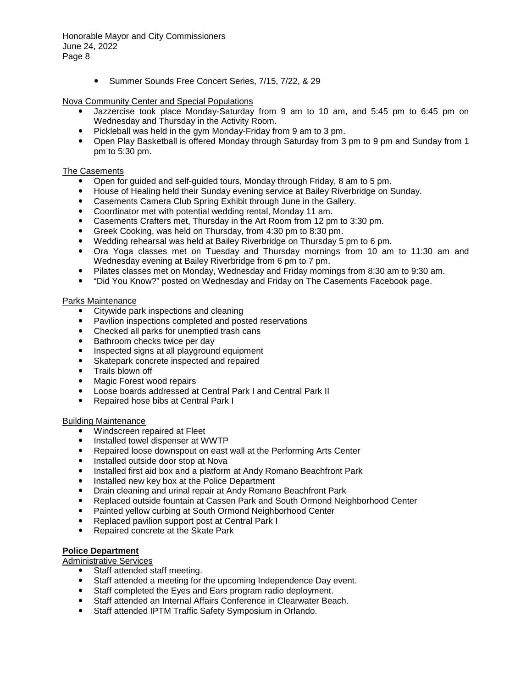Summer Sounds Free Concert Series, 7/15, 7/22, & 29

### Nova Community Center and Special Populations

- Jazzercise took place Monday-Saturday from 9 am to 10 am, and 5:45 pm to 6:45 pm on Wednesday and Thursday in the Activity Room.
- Pickleball was held in the gym Monday-Friday from 9 am to 3 pm.
- Open Play Basketball is offered Monday through Saturday from 3 pm to 9 pm and Sunday from 1 pm to 5:30 pm.

### The Casements

- Open for guided and self-guided tours, Monday through Friday, 8 am to 5 pm.
- House of Healing held their Sunday evening service at Bailey Riverbridge on Sunday.
- Casements Camera Club Spring Exhibit through June in the Gallery.
- Coordinator met with potential wedding rental, Monday 11 am.
- Casements Crafters met, Thursday in the Art Room from 12 pm to 3:30 pm.
- Greek Cooking, was held on Thursday, from 4:30 pm to 8:30 pm.
- Wedding rehearsal was held at Bailey Riverbridge on Thursday 5 pm to 6 pm.
- Ora Yoga classes met on Tuesday and Thursday mornings from 10 am to 11:30 am and Wednesday evening at Bailey Riverbridge from 6 pm to 7 pm.
- Pilates classes met on Monday, Wednesday and Friday mornings from 8:30 am to 9:30 am.
- "Did You Know?" posted on Wednesday and Friday on The Casements Facebook page.

#### Parks Maintenance

- Citywide park inspections and cleaning
- Pavilion inspections completed and posted reservations
- Checked all parks for unemptied trash cans
- Bathroom checks twice per day
- Inspected signs at all playground equipment
- Skatepark concrete inspected and repaired
- Trails blown off
- Magic Forest wood repairs
- Loose boards addressed at Central Park I and Central Park II
- Repaired hose bibs at Central Park I

#### Building Maintenance

- Windscreen repaired at Fleet
- Installed towel dispenser at WWTP
- Repaired loose downspout on east wall at the Performing Arts Center
- Installed outside door stop at Nova
- Installed first aid box and a platform at Andy Romano Beachfront Park
- Installed new key box at the Police Department
- Drain cleaning and urinal repair at Andy Romano Beachfront Park<br>• Benjaced outside fountain at Cassen Park and South Ormond Neig
- Replaced outside fountain at Cassen Park and South Ormond Neighborhood Center
- Painted yellow curbing at South Ormond Neighborhood Center
- Replaced pavilion support post at Central Park I
- Repaired concrete at the Skate Park

### **Police Department**

Administrative Services

- Staff attended staff meeting.
- Staff attended a meeting for the upcoming Independence Day event.
- Staff completed the Eyes and Ears program radio deployment.
- Staff attended an Internal Affairs Conference in Clearwater Beach.
- Staff attended IPTM Traffic Safety Symposium in Orlando.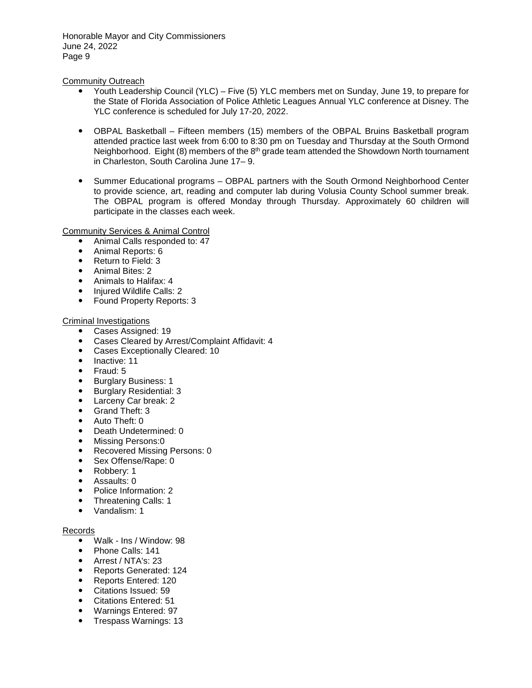### Community Outreach

- Youth Leadership Council (YLC) Five (5) YLC members met on Sunday, June 19, to prepare for the State of Florida Association of Police Athletic Leagues Annual YLC conference at Disney. The YLC conference is scheduled for July 17-20, 2022.
- OBPAL Basketball Fifteen members (15) members of the OBPAL Bruins Basketball program attended practice last week from 6:00 to 8:30 pm on Tuesday and Thursday at the South Ormond Neighborhood. Eight (8) members of the  $8<sup>th</sup>$  grade team attended the Showdown North tournament in Charleston, South Carolina June 17– 9.
- Summer Educational programs OBPAL partners with the South Ormond Neighborhood Center to provide science, art, reading and computer lab during Volusia County School summer break. The OBPAL program is offered Monday through Thursday. Approximately 60 children will participate in the classes each week.

### Community Services & Animal Control

- Animal Calls responded to: 47
- Animal Reports: 6
- Return to Field: 3
- Animal Bites: 2
- Animals to Halifax: 4
- Injured Wildlife Calls: 2
- Found Property Reports: 3

### Criminal Investigations

- Cases Assigned: 19
- Cases Cleared by Arrest/Complaint Affidavit: 4
- Cases Exceptionally Cleared: 10
- Inactive: 11
- $\bullet$  Fraud: 5
- **•** Burglary Business: 1
- **•** Burglary Residential: 3
- Larceny Car break:  $2 \cdot$  Grand Theft: 3
- Grand Theft: 3
- Auto Theft: 0
- Death Undetermined: 0
- Missing Persons:0
- Recovered Missing Persons: 0
- Sex Offense/Rape: 0
- Robbery: 1
- Assaults: 0
- Police Information: 2
- Threatening Calls: 1
- Vandalism: 1

### Records

- Walk Ins / Window: 98
- Phone Calls: 141
- Arrest / NTA's: 23
- Reports Generated: 124
- Reports Entered: 120
- Citations Issued: 59
- Citations Entered: 51
- Warnings Entered: 97
- Trespass Warnings: 13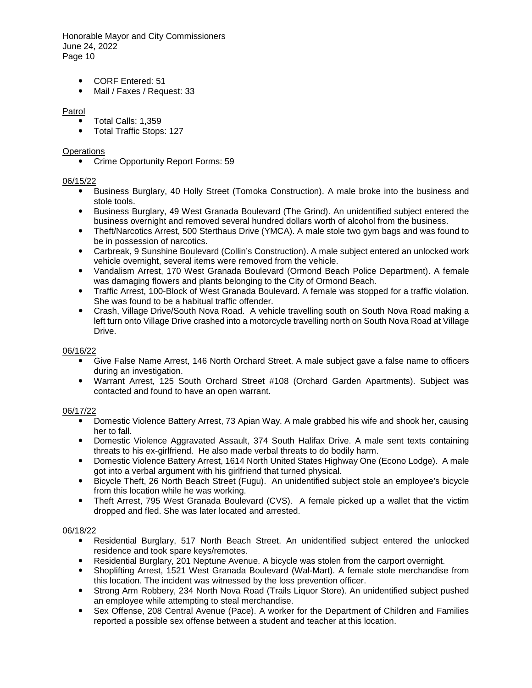- CORF Entered: 51
- Mail / Faxes / Request: 33

### Patrol

- Total Calls: 1,359
- Total Traffic Stops: 127

### **Operations**

• Crime Opportunity Report Forms: 59

# 06/15/22

- Business Burglary, 40 Holly Street (Tomoka Construction). A male broke into the business and stole tools.
- Business Burglary, 49 West Granada Boulevard (The Grind). An unidentified subject entered the business overnight and removed several hundred dollars worth of alcohol from the business.
- Theft/Narcotics Arrest, 500 Sterthaus Drive (YMCA). A male stole two gym bags and was found to be in possession of narcotics.
- Carbreak, 9 Sunshine Boulevard (Collin's Construction). A male subject entered an unlocked work vehicle overnight, several items were removed from the vehicle.
- Vandalism Arrest, 170 West Granada Boulevard (Ormond Beach Police Department). A female was damaging flowers and plants belonging to the City of Ormond Beach.
- Traffic Arrest, 100-Block of West Granada Boulevard. A female was stopped for a traffic violation. She was found to be a habitual traffic offender.
- Crash, Village Drive/South Nova Road. A vehicle travelling south on South Nova Road making a left turn onto Village Drive crashed into a motorcycle travelling north on South Nova Road at Village Drive.

# 06/16/22

- Give False Name Arrest, 146 North Orchard Street. A male subject gave a false name to officers during an investigation.
- Warrant Arrest, 125 South Orchard Street #108 (Orchard Garden Apartments). Subject was contacted and found to have an open warrant.

# 06/17/22

- Domestic Violence Battery Arrest, 73 Apian Way. A male grabbed his wife and shook her, causing her to fall.
- Domestic Violence Aggravated Assault, 374 South Halifax Drive. A male sent texts containing threats to his ex-girlfriend. He also made verbal threats to do bodily harm.
- Domestic Violence Battery Arrest, 1614 North United States Highway One (Econo Lodge). A male got into a verbal argument with his girlfriend that turned physical.
- Bicycle Theft, 26 North Beach Street (Fugu). An unidentified subject stole an employee's bicycle from this location while he was working.
- Theft Arrest, 795 West Granada Boulevard (CVS). A female picked up a wallet that the victim dropped and fled. She was later located and arrested.

### 06/18/22

- Residential Burglary, 517 North Beach Street. An unidentified subject entered the unlocked residence and took spare keys/remotes.
- Residential Burglary, 201 Neptune Avenue. A bicycle was stolen from the carport overnight.
- Shoplifting Arrest, 1521 West Granada Boulevard (Wal-Mart). A female stole merchandise from this location. The incident was witnessed by the loss prevention officer.
- Strong Arm Robbery, 234 North Nova Road (Trails Liquor Store). An unidentified subject pushed an employee while attempting to steal merchandise.
- Sex Offense, 208 Central Avenue (Pace). A worker for the Department of Children and Families reported a possible sex offense between a student and teacher at this location.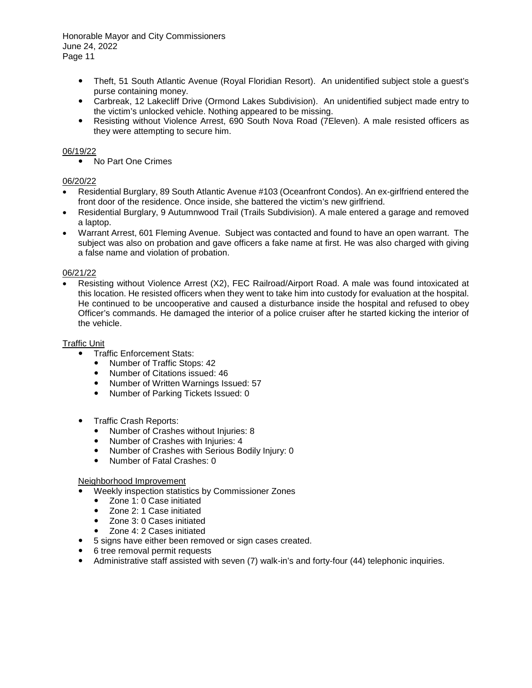- Theft, 51 South Atlantic Avenue (Royal Floridian Resort). An unidentified subject stole a guest's purse containing money.
- Carbreak, 12 Lakecliff Drive (Ormond Lakes Subdivision). An unidentified subject made entry to the victim's unlocked vehicle. Nothing appeared to be missing.
- Resisting without Violence Arrest, 690 South Nova Road (7Eleven). A male resisted officers as they were attempting to secure him.

### 06/19/22

• No Part One Crimes

# 06/20/22

- Residential Burglary, 89 South Atlantic Avenue #103 (Oceanfront Condos). An ex-girlfriend entered the front door of the residence. Once inside, she battered the victim's new girlfriend.
- Residential Burglary, 9 Autumnwood Trail (Trails Subdivision). A male entered a garage and removed a laptop.
- Warrant Arrest, 601 Fleming Avenue. Subject was contacted and found to have an open warrant. The subject was also on probation and gave officers a fake name at first. He was also charged with giving a false name and violation of probation.

### 06/21/22

• Resisting without Violence Arrest (X2), FEC Railroad/Airport Road. A male was found intoxicated at this location. He resisted officers when they went to take him into custody for evaluation at the hospital. He continued to be uncooperative and caused a disturbance inside the hospital and refused to obey Officer's commands. He damaged the interior of a police cruiser after he started kicking the interior of the vehicle.

### Traffic Unit

- Traffic Enforcement Stats:
	- Number of Traffic Stops: 42
	- Number of Citations issued: 46
	- Number of Written Warnings Issued: 57
	- Number of Parking Tickets Issued: 0
- Traffic Crash Reports:
	- Number of Crashes without Injuries: 8
	- Number of Crashes with Injuries: 4
	- Number of Crashes with Serious Bodily Injury: 0
	- Number of Fatal Crashes: 0

### Neighborhood Improvement

- Weekly inspection statistics by Commissioner Zones
	- Zone 1: 0 Case initiated
	- Zone 2: 1 Case initiated
	- Zone 3: 0 Cases initiated
	- Zone 4: 2 Cases initiated
- 5 signs have either been removed or sign cases created.
- 6 tree removal permit requests
- Administrative staff assisted with seven (7) walk-in's and forty-four (44) telephonic inquiries.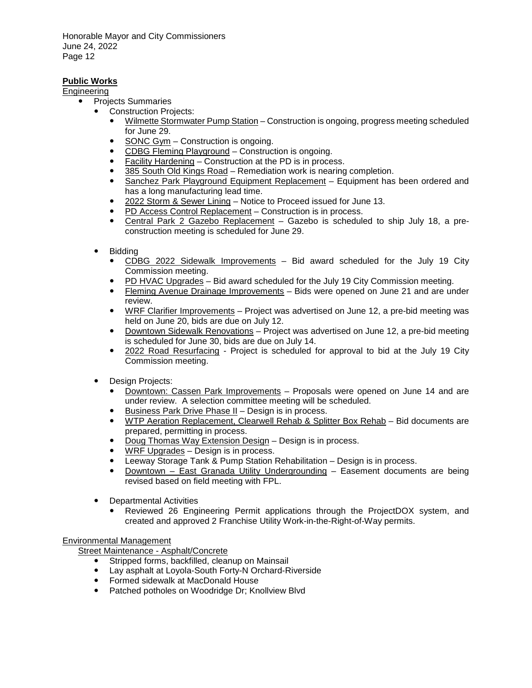# **Public Works**

Engineering

- Projects Summaries
	- Construction Projects:
		- Wilmette Stormwater Pump Station Construction is ongoing, progress meeting scheduled for June 29.
		- SONC Gym Construction is ongoing.
		- CDBG Fleming Playground Construction is ongoing.
		- Facility Hardening Construction at the PD is in process.
		- 385 South Old Kings Road Remediation work is nearing completion.
		- Sanchez Park Playground Equipment Replacement Equipment has been ordered and has a long manufacturing lead time.
		- 2022 Storm & Sewer Lining Notice to Proceed issued for June 13.
		- PD Access Control Replacement Construction is in process.
		- Central Park 2 Gazebo Replacement Gazebo is scheduled to ship July 18, a preconstruction meeting is scheduled for June 29.
	- **Bidding** 
		- CDBG 2022 Sidewalk Improvements Bid award scheduled for the July 19 City Commission meeting.
		- PD HVAC Upgrades Bid award scheduled for the July 19 City Commission meeting.
		- Fleming Avenue Drainage Improvements Bids were opened on June 21 and are under review.
		- WRF Clarifier Improvements Project was advertised on June 12, a pre-bid meeting was held on June 20, bids are due on July 12.
		- Downtown Sidewalk Renovations Project was advertised on June 12, a pre-bid meeting is scheduled for June 30, bids are due on July 14.
		- 2022 Road Resurfacing Project is scheduled for approval to bid at the July 19 City Commission meeting.
	- Design Projects:
		- Downtown: Cassen Park Improvements Proposals were opened on June 14 and are under review. A selection committee meeting will be scheduled.
		- Business Park Drive Phase II Design is in process.
		- WTP Aeration Replacement, Clearwell Rehab & Splitter Box Rehab Bid documents are prepared, permitting in process.
		- Doug Thomas Way Extension Design Design is in process.
		- WRF Upgrades Design is in process.
		- Leeway Storage Tank & Pump Station Rehabilitation Design is in process.
		- Downtown East Granada Utility Undergrounding Easement documents are being revised based on field meeting with FPL.
	- Departmental Activities
		- Reviewed 26 Engineering Permit applications through the ProjectDOX system, and created and approved 2 Franchise Utility Work-in-the-Right-of-Way permits.

# Environmental Management

Street Maintenance - Asphalt/Concrete

- Stripped forms, backfilled, cleanup on Mainsail
- Lay asphalt at Loyola-South Forty-N Orchard-Riverside
- Formed sidewalk at MacDonald House
- Patched potholes on Woodridge Dr; Knollview Blvd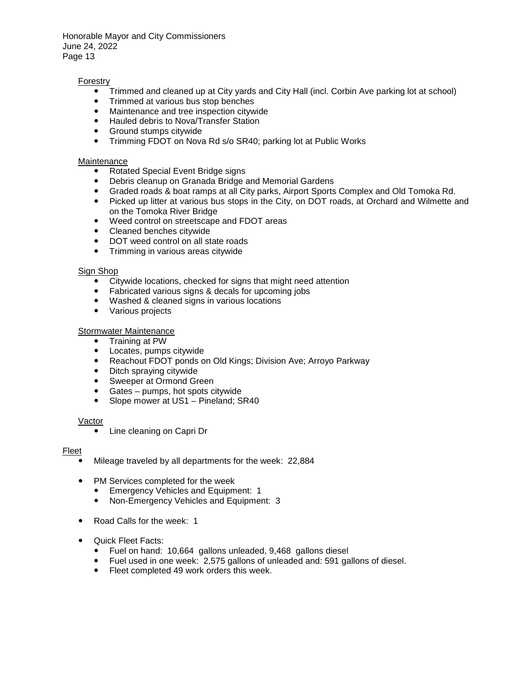### Forestry

- Trimmed and cleaned up at City yards and City Hall (incl. Corbin Ave parking lot at school)
- Trimmed at various bus stop benches
- Maintenance and tree inspection citywide
- Hauled debris to Nova/Transfer Station
- Ground stumps citywide
- Trimming FDOT on Nova Rd s/o SR40; parking lot at Public Works

#### Maintenance

- Rotated Special Event Bridge signs
- Debris cleanup on Granada Bridge and Memorial Gardens
- Graded roads & boat ramps at all City parks, Airport Sports Complex and Old Tomoka Rd.
- Picked up litter at various bus stops in the City, on DOT roads, at Orchard and Wilmette and on the Tomoka River Bridge
- Weed control on streetscape and FDOT areas
- Cleaned benches citywide
- DOT weed control on all state roads
- Trimming in various areas citywide

### Sign Shop

- Citywide locations, checked for signs that might need attention
- Fabricated various signs & decals for upcoming jobs
- Washed & cleaned signs in various locations
- Various projects

### Stormwater Maintenance

- Training at PW
- Locates, pumps citywide
- Reachout FDOT ponds on Old Kings; Division Ave; Arroyo Parkway
- Ditch spraying citywide
- Sweeper at Ormond Green
- Gates pumps, hot spots citywide
- Slope mower at US1 Pineland; SR40

#### Vactor

• Line cleaning on Capri Dr

#### **Fleet**

- Mileage traveled by all departments for the week: 22,884
- PM Services completed for the week
	- **Emergency Vehicles and Equipment: 1**<br>**•** Non-Emergency Vehicles and Equipmen
	- Non-Emergency Vehicles and Equipment: 3
- Road Calls for the week: 1
- Quick Fleet Facts:
	- Fuel on hand: 10,664 gallons unleaded, 9,468 gallons diesel
	- Fuel used in one week: 2,575 gallons of unleaded and: 591 gallons of diesel.
	- Fleet completed 49 work orders this week.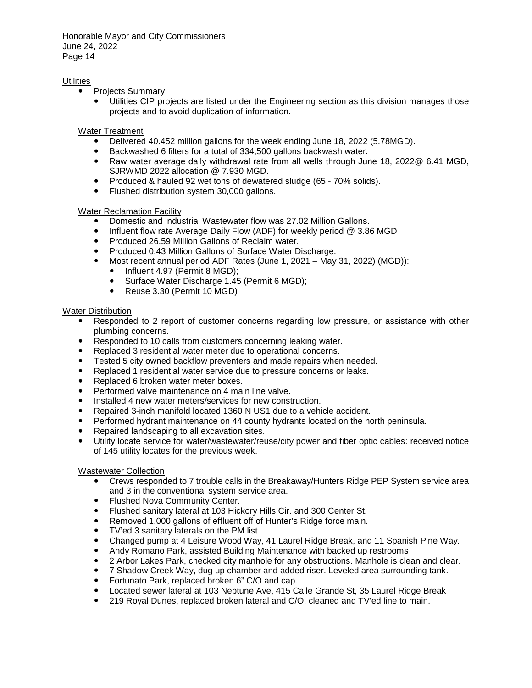### **Utilities**

- Projects Summary
	- Utilities CIP projects are listed under the Engineering section as this division manages those projects and to avoid duplication of information.

Water Treatment

- Delivered 40.452 million gallons for the week ending June 18, 2022 (5.78MGD).
- Backwashed 6 filters for a total of 334,500 gallons backwash water.
- Raw water average daily withdrawal rate from all wells through June 18, 2022@ 6.41 MGD, SJRWMD 2022 allocation @ 7.930 MGD.
- Produced & hauled 92 wet tons of dewatered sludge (65 70% solids).
- Flushed distribution system 30,000 gallons.

### Water Reclamation Facility

- Domestic and Industrial Wastewater flow was 27.02 Million Gallons.
- Influent flow rate Average Daily Flow (ADF) for weekly period @ 3.86 MGD
- Produced 26.59 Million Gallons of Reclaim water.
- Produced 0.43 Million Gallons of Surface Water Discharge.<br>• Most recent appual period ADE Rates (June 1, 2021 May
- Most recent annual period ADF Rates (June 1, 2021 May 31, 2022) (MGD)):
	- Influent 4.97 (Permit 8 MGD):
	- Surface Water Discharge 1.45 (Permit 6 MGD);<br>• Reuse 3.30 (Permit 10 MGD)
	- Reuse 3.30 (Permit 10 MGD)

### Water Distribution

- Responded to 2 report of customer concerns regarding low pressure, or assistance with other plumbing concerns.
- Responded to 10 calls from customers concerning leaking water.
- Replaced 3 residential water meter due to operational concerns.
- Tested 5 city owned backflow preventers and made repairs when needed.
- Replaced 1 residential water service due to pressure concerns or leaks.
- Replaced 6 broken water meter boxes.
- Performed valve maintenance on 4 main line valve.
- Installed 4 new water meters/services for new construction.
- Repaired 3-inch manifold located 1360 N US1 due to a vehicle accident.
- Performed hydrant maintenance on 44 county hydrants located on the north peninsula.
- Repaired landscaping to all excavation sites.
- Utility locate service for water/wastewater/reuse/city power and fiber optic cables: received notice of 145 utility locates for the previous week.

### Wastewater Collection

- Crews responded to 7 trouble calls in the Breakaway/Hunters Ridge PEP System service area and 3 in the conventional system service area.
- Flushed Nova Community Center.
- Flushed sanitary lateral at 103 Hickory Hills Cir. and 300 Center St.
- Removed 1,000 gallons of effluent off of Hunter's Ridge force main.
- TV'ed 3 sanitary laterals on the PM list
- Changed pump at 4 Leisure Wood Way, 41 Laurel Ridge Break, and 11 Spanish Pine Way.
- Andy Romano Park, assisted Building Maintenance with backed up restrooms
- 2 Arbor Lakes Park, checked city manhole for any obstructions. Manhole is clean and clear.
- 7 Shadow Creek Way, dug up chamber and added riser. Leveled area surrounding tank.
- Fortunato Park, replaced broken 6" C/O and cap.
- Located sewer lateral at 103 Neptune Ave, 415 Calle Grande St, 35 Laurel Ridge Break
- 219 Royal Dunes, replaced broken lateral and C/O, cleaned and TV'ed line to main.